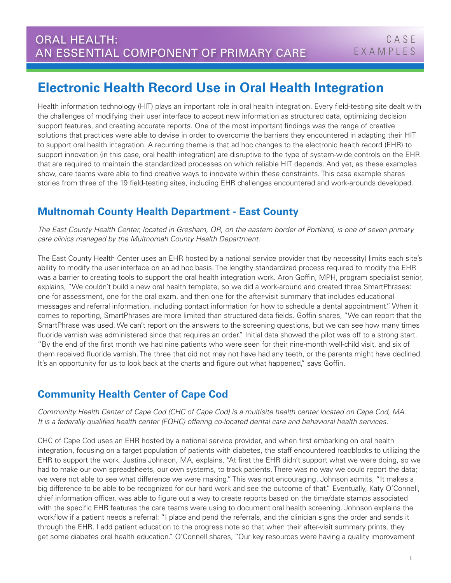# **Electronic Health Record Use in Oral Health Integration**

Health information technology (HIT) plays an important role in oral health integration. Every field-testing site dealt with the challenges of modifying their user interface to accept new information as structured data, optimizing decision support features, and creating accurate reports. One of the most important findings was the range of creative solutions that practices were able to devise in order to overcome the barriers they encountered in adapting their HIT to support oral health integration. A recurring theme is that ad hoc changes to the electronic health record (EHR) to support innovation (in this case, oral health integration) are disruptive to the type of system-wide controls on the EHR that are required to maintain the standardized processes on which reliable HIT depends. And yet, as these examples show, care teams were able to find creative ways to innovate within these constraints. This case example shares stories from three of the 19 field-testing sites, including EHR challenges encountered and work-arounds developed.

## **Multnomah County Health Department - East County**

*The East County Health Center, located in Gresham, OR, on the eastern border of Portland, is one of seven primary care clinics managed by the Multnomah County Health Department.* 

The East County Health Center uses an EHR hosted by a national service provider that (by necessity) limits each site's ability to modify the user interface on an ad hoc basis. The lengthy standardized process required to modify the EHR was a barrier to creating tools to support the oral health integration work. Aron Goffin, MPH, program specialist senior, explains, "We couldn't build a new oral health template, so we did a work-around and created three SmartPhrases: one for assessment, one for the oral exam, and then one for the after-visit summary that includes educational messages and referral information, including contact information for how to schedule a dental appointment." When it comes to reporting, SmartPhrases are more limited than structured data fields. Goffin shares, "We can report that the SmartPhrase was used. We can't report on the answers to the screening questions, but we can see how many times fluoride varnish was administered since that requires an order." Initial data showed the pilot was off to a strong start. "By the end of the first month we had nine patients who were seen for their nine-month well-child visit, and six of them received fluoride varnish. The three that did not may not have had any teeth, or the parents might have declined. It's an opportunity for us to look back at the charts and figure out what happened," says Goffin.

## **Community Health Center of Cape Cod**

*Community Health Center of Cape Cod (CHC of Cape Cod) is a multisite health center located on Cape Cod, MA. It is a federally qualified health center (FQHC) offering co-located dental care and behavioral health services.* 

CHC of Cape Cod uses an EHR hosted by a national service provider, and when first embarking on oral health integration, focusing on a target population of patients with diabetes, the staff encountered roadblocks to utilizing the EHR to support the work. Justina Johnson, MA, explains, "At first the EHR didn't support what we were doing, so we had to make our own spreadsheets, our own systems, to track patients. There was no way we could report the data; we were not able to see what difference we were making." This was not encouraging. Johnson admits, "It makes a big difference to be able to be recognized for our hard work and see the outcome of that." Eventually, Katy O'Connell, chief information officer, was able to figure out a way to create reports based on the time/date stamps associated with the specific EHR features the care teams were using to document oral health screening. Johnson explains the workflow if a patient needs a referral: "I place and pend the referrals, and the clinician signs the order and sends it through the EHR. I add patient education to the progress note so that when their after-visit summary prints, they get some diabetes oral health education." O'Connell shares, "Our key resources were having a quality improvement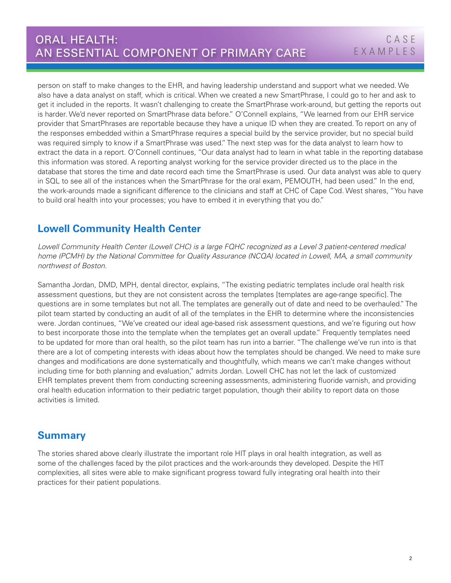person on staff to make changes to the EHR, and having leadership understand and support what we needed. We also have a data analyst on staff, which is critical. When we created a new SmartPhrase, I could go to her and ask to get it included in the reports. It wasn't challenging to create the SmartPhrase work-around, but getting the reports out is harder. We'd never reported on SmartPhrase data before." O'Connell explains, "We learned from our EHR service provider that SmartPhrases are reportable because they have a unique ID when they are created. To report on any of the responses embedded within a SmartPhrase requires a special build by the service provider, but no special build was required simply to know if a SmartPhrase was used." The next step was for the data analyst to learn how to extract the data in a report. O'Connell continues, "Our data analyst had to learn in what table in the reporting database this information was stored. A reporting analyst working for the service provider directed us to the place in the database that stores the time and date record each time the SmartPhrase is used. Our data analyst was able to query in SQL to see all of the instances when the SmartPhrase for the oral exam, PEMOUTH, had been used." In the end, the work-arounds made a significant difference to the clinicians and staff at CHC of Cape Cod. West shares, "You have to build oral health into your processes; you have to embed it in everything that you do."

## **Lowell Community Health Center**

Lowell Community Health Center (Lowell CHC) is a large FQHC recognized as a Level 3 patient-centered medical *home (PCMH) by the National Committee for Quality Assurance (NCQA) located in Lowell, MA, a small community northwest of Boston.*

Samantha Jordan, DMD, MPH, dental director, explains, "The existing pediatric templates include oral health risk assessment questions, but they are not consistent across the templates [templates are age-range specific]. The questions are in some templates but not all. The templates are generally out of date and need to be overhauled." The pilot team started by conducting an audit of all of the templates in the EHR to determine where the inconsistencies were. Jordan continues, "We've created our ideal age-based risk assessment questions, and we're figuring out how to best incorporate those into the template when the templates get an overall update." Frequently templates need to be updated for more than oral health, so the pilot team has run into a barrier. "The challenge we've run into is that there are a lot of competing interests with ideas about how the templates should be changed. We need to make sure changes and modifications are done systematically and thoughtfully, which means we can't make changes without including time for both planning and evaluation," admits Jordan. Lowell CHC has not let the lack of customized EHR templates prevent them from conducting screening assessments, administering fluoride varnish, and providing oral health education information to their pediatric target population, though their ability to report data on those activities is limited.

## **Summary**

The stories shared above clearly illustrate the important role HIT plays in oral health integration, as well as some of the challenges faced by the pilot practices and the work-arounds they developed. Despite the HIT complexities, all sites were able to make significant progress toward fully integrating oral health into their practices for their patient populations.